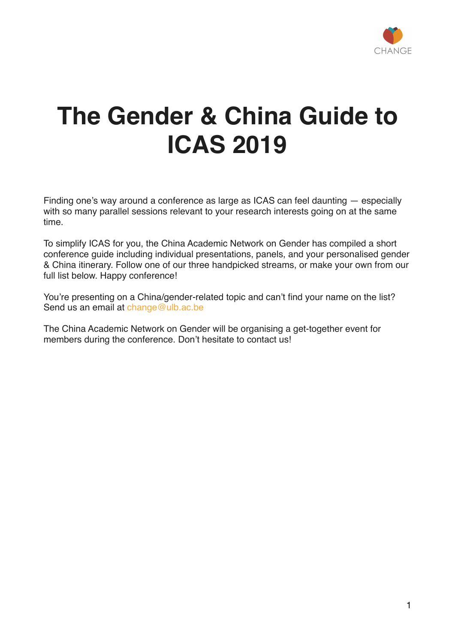

# **The Gender & China Guide to ICAS 2019**

Finding one's way around a conference as large as ICAS can feel daunting — especially with so many parallel sessions relevant to your research interests going on at the same time.

To simplify ICAS for you, the China Academic Network on Gender has compiled a short conference guide including individual presentations, panels, and your personalised gender & China itinerary. Follow one of our three handpicked streams, or make your own from our full list below. Happy conference!

You're presenting on a China/gender-related topic and can't find your name on the list? Send us an email at [change@ulb.ac.be](mailto:change@ulb.ac.be)

The China Academic Network on Gender will be organising a get-together event for members during the conference. Don't hesitate to contact us!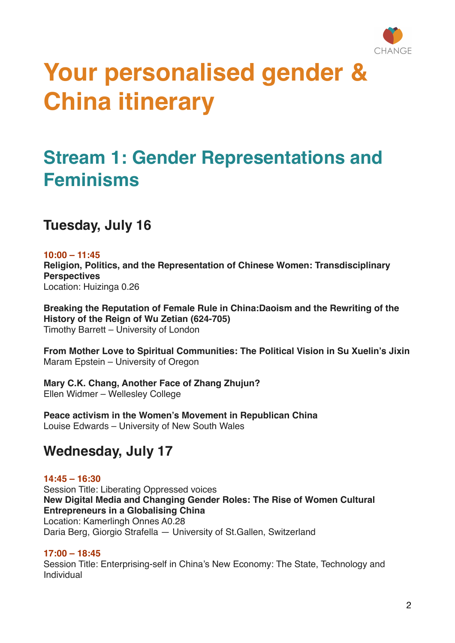

# **Your personalised gender & China itinerary**

## **Stream 1: Gender Representations and Feminisms**

**Tuesday, July 16**

**10:00 – 11:45** 

**Religion, Politics, and the Representation of Chinese Women: Transdisciplinary Perspectives**

Location: Huizinga 0.26

**Breaking the Reputation of Female Rule in China:Daoism and the Rewriting of the History of the Reign of Wu Zetian (624-705)** Timothy Barrett – University of London

**From Mother Love to Spiritual Communities: The Political Vision in Su Xuelin's Jixin** Maram Epstein – University of Oregon

**Mary C.K. Chang, Another Face of Zhang Zhujun?** Ellen Widmer – Wellesley College

**Peace activism in the Women's Movement in Republican China** Louise Edwards – University of New South Wales

## **Wednesday, July 17**

**14:45 – 16:30** Session Title: Liberating Oppressed voices **New Digital Media and Changing Gender Roles: The Rise of Women Cultural Entrepreneurs in a Globalising China** Location: Kamerlingh Onnes A0.28 Daria Berg, Giorgio Strafella — University of St.Gallen, Switzerland

#### **17:00 – 18:45**

Session Title: Enterprising-self in China's New Economy: The State, Technology and Individual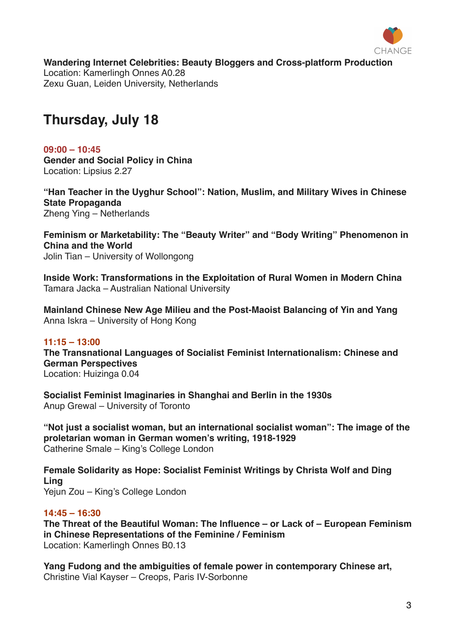

**Wandering Internet Celebrities: Beauty Bloggers and Cross-platform Production** Location: Kamerlingh Onnes A0.28

Zexu Guan, Leiden University, Netherlands

## **Thursday, July 18**

**09:00 – 10:45 Gender and Social Policy in China** Location: Lipsius 2.27

**"Han Teacher in the Uyghur School": Nation, Muslim, and Military Wives in Chinese State Propaganda** Zheng Ying – Netherlands

**Feminism or Marketability: The "Beauty Writer" and "Body Writing" Phenomenon in China and the World** Jolin Tian – University of Wollongong

**Inside Work: Transformations in the Exploitation of Rural Women in Modern China** Tamara Jacka – Australian National University

**Mainland Chinese New Age Milieu and the Post-Maoist Balancing of Yin and Yang** Anna Iskra – University of Hong Kong

#### **11:15 – 13:00**

**The Transnational Languages of Socialist Feminist Internationalism: Chinese and German Perspectives**

Location: Huizinga 0.04

**Socialist Feminist Imaginaries in Shanghai and Berlin in the 1930s** Anup Grewal – University of Toronto

**"Not just a socialist woman, but an international socialist woman": The image of the proletarian woman in German women's writing, 1918-1929** Catherine Smale – King's College London

**Female Solidarity as Hope: Socialist Feminist Writings by Christa Wolf and Ding Ling** Yejun Zou – King's College London

#### **14:45 – 16:30**

**The Threat of the Beautiful Woman: The Influence – or Lack of – European Feminism in Chinese Representations of the Feminine / Feminism** Location: Kamerlingh Onnes B0.13

**Yang Fudong and the ambiguities of female power in contemporary Chinese art,**  Christine Vial Kayser – Creops, Paris IV-Sorbonne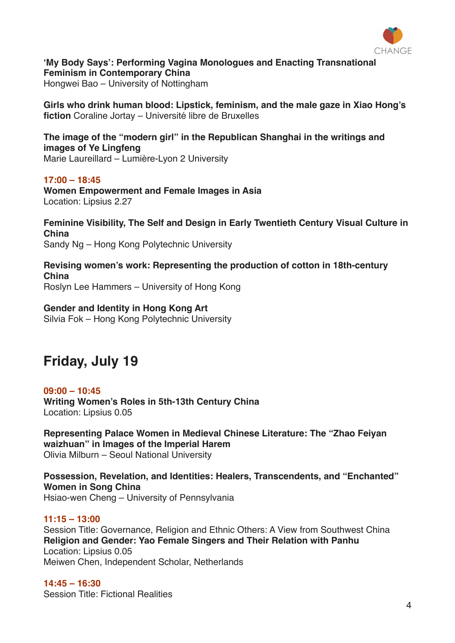

**'My Body Says': Performing Vagina Monologues and Enacting Transnational Feminism in Contemporary China**

Hongwei Bao – University of Nottingham

**Girls who drink human blood: Lipstick, feminism, and the male gaze in Xiao Hong's fiction** Coraline Jortay – Université libre de Bruxelles

**The image of the "modern girl" in the Republican Shanghai in the writings and images of Ye Lingfeng** Marie Laureillard – Lumière-Lyon 2 University

**17:00 – 18:45 Women Empowerment and Female Images in Asia** Location: Lipsius 2.27

**Feminine Visibility, The Self and Design in Early Twentieth Century Visual Culture in China** Sandy Ng – Hong Kong Polytechnic University

**Revising women's work: Representing the production of cotton in 18th-century China** Roslyn Lee Hammers – University of Hong Kong

**Gender and Identity in Hong Kong Art** Silvia Fok – Hong Kong Polytechnic University

## **Friday, July 19**

**09:00 – 10:45 Writing Women's Roles in 5th-13th Century China** Location: Lipsius 0.05

**Representing Palace Women in Medieval Chinese Literature: The "Zhao Feiyan waizhuan" in Images of the Imperial Harem** Olivia Milburn – Seoul National University

**Possession, Revelation, and Identities: Healers, Transcendents, and "Enchanted" Women in Song China** Hsiao-wen Cheng – University of Pennsylvania

**11:15 – 13:00** Session Title: Governance, Religion and Ethnic Others: A View from Southwest China **Religion and Gender: Yao Female Singers and Their Relation with Panhu** Location: Lipsius 0.05 Meiwen Chen, Independent Scholar, Netherlands

**14:45 – 16:30** Session Title: Fictional Realities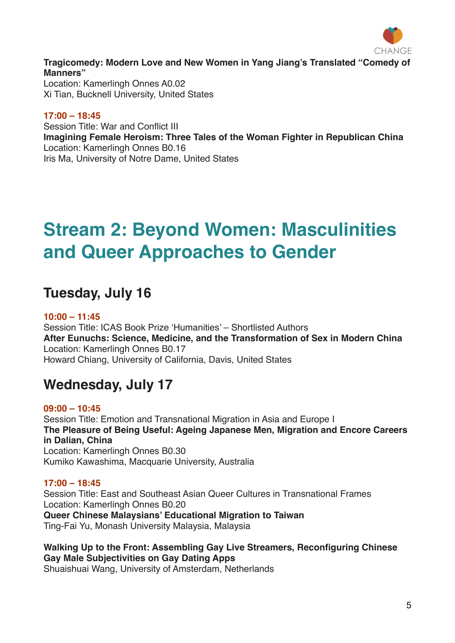

**Tragicomedy: Modern Love and New Women in Yang Jiang's Translated "Comedy of Manners"** Location: Kamerlingh Onnes A0.02

Xi Tian, Bucknell University, United States

#### **17:00 – 18:45**

Session Title: War and Conflict III **Imagining Female Heroism: Three Tales of the Woman Fighter in Republican China** Location: Kamerlingh Onnes B0.16 Iris Ma, University of Notre Dame, United States

## **Stream 2: Beyond Women: Masculinities and Queer Approaches to Gender**

## **Tuesday, July 16**

#### **10:00 – 11:45**

Session Title: ICAS Book Prize 'Humanities' – Shortlisted Authors **After Eunuchs: Science, Medicine, and the Transformation of Sex in Modern China** Location: Kamerlingh Onnes B0.17 Howard Chiang, University of California, Davis, United States

## **Wednesday, July 17**

**09:00 – 10:45** Session Title: Emotion and Transnational Migration in Asia and Europe I **The Pleasure of Being Useful: Ageing Japanese Men, Migration and Encore Careers in Dalian, China** Location: Kamerlingh Onnes B0.30 Kumiko Kawashima, Macquarie University, Australia

#### **17:00 – 18:45**

Session Title: East and Southeast Asian Queer Cultures in Transnational Frames Location: Kamerlingh Onnes B0.20 **Queer Chinese Malaysians' Educational Migration to Taiwan** Ting-Fai Yu, Monash University Malaysia, Malaysia

**Walking Up to the Front: Assembling Gay Live Streamers, Reconfiguring Chinese Gay Male Subjectivities on Gay Dating Apps** Shuaishuai Wang, University of Amsterdam, Netherlands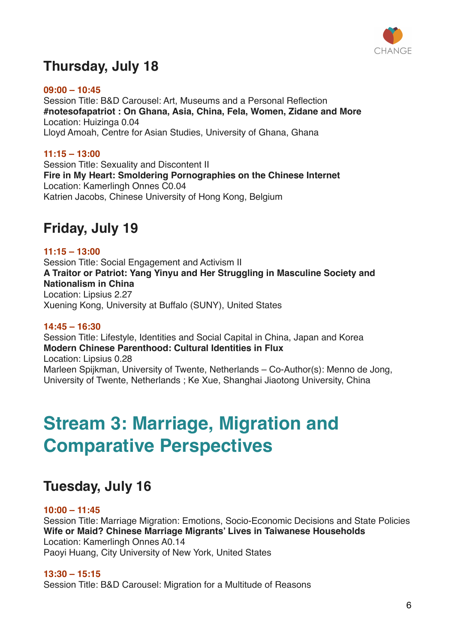

## **Thursday, July 18**

**09:00 – 10:45** Session Title: B&D Carousel: Art, Museums and a Personal Reflection **#notesofapatriot : On Ghana, Asia, China, Fela, Women, Zidane and More** Location: Huizinga 0.04 Lloyd Amoah, Centre for Asian Studies, University of Ghana, Ghana

**11:15 – 13:00** Session Title: Sexuality and Discontent II **Fire in My Heart: Smoldering Pornographies on the Chinese Internet** Location: Kamerlingh Onnes C0.04 Katrien Jacobs, Chinese University of Hong Kong, Belgium

## **Friday, July 19**

#### **11:15 – 13:00**

Session Title: Social Engagement and Activism II **A Traitor or Patriot: Yang Yinyu and Her Struggling in Masculine Society and Nationalism in China** Location: Lipsius 2.27 Xuening Kong, University at Buffalo (SUNY), United States

#### **14:45 – 16:30**

Session Title: Lifestyle, Identities and Social Capital in China, Japan and Korea **Modern Chinese Parenthood: Cultural Identities in Flux** Location: Lipsius 0.28 Marleen Spijkman, University of Twente, Netherlands – Co-Author(s): Menno de Jong, University of Twente, Netherlands ; Ke Xue, Shanghai Jiaotong University, China

## **Stream 3: Marriage, Migration and Comparative Perspectives**

## **Tuesday, July 16**

#### **10:00 – 11:45**

Session Title: Marriage Migration: Emotions, Socio-Economic Decisions and State Policies **Wife or Maid? Chinese Marriage Migrants' Lives in Taiwanese Households** Location: Kamerlingh Onnes A0.14 Paoyi Huang, City University of New York, United States

#### **13:30 – 15:15**

Session Title: B&D Carousel: Migration for a Multitude of Reasons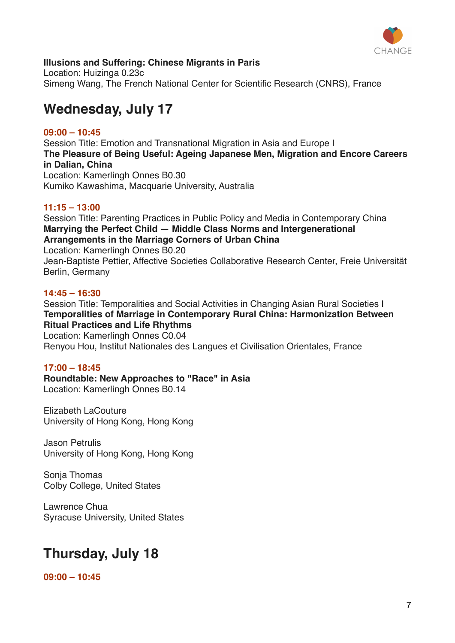

#### **Illusions and Suffering: Chinese Migrants in Paris**

Location: Huizinga 0.23c Simeng Wang, The French National Center for Scientific Research (CNRS), France

### **Wednesday, July 17**

#### **09:00 – 10:45**

Session Title: Emotion and Transnational Migration in Asia and Europe I **The Pleasure of Being Useful: Ageing Japanese Men, Migration and Encore Careers in Dalian, China** Location: Kamerlingh Onnes B0.30 Kumiko Kawashima, Macquarie University, Australia

#### **11:15 – 13:00**

Session Title: Parenting Practices in Public Policy and Media in Contemporary China **Marrying the Perfect Child — Middle Class Norms and Intergenerational Arrangements in the Marriage Corners of Urban China** Location: Kamerlingh Onnes B0.20 Jean-Baptiste Pettier, Affective Societies Collaborative Research Center, Freie Universität Berlin, Germany

#### **14:45 – 16:30**

Session Title: Temporalities and Social Activities in Changing Asian Rural Societies I **Temporalities of Marriage in Contemporary Rural China: Harmonization Between Ritual Practices and Life Rhythms**

Location: Kamerlingh Onnes C0.04 Renyou Hou, Institut Nationales des Langues et Civilisation Orientales, France

#### **17:00 – 18:45**

**Roundtable: New Approaches to "Race" in Asia** Location: Kamerlingh Onnes B0.14

Elizabeth LaCouture University of Hong Kong, Hong Kong

Jason Petrulis University of Hong Kong, Hong Kong

Sonja Thomas Colby College, United States

Lawrence Chua Syracuse University, United States

## **Thursday, July 18**

**09:00 – 10:45**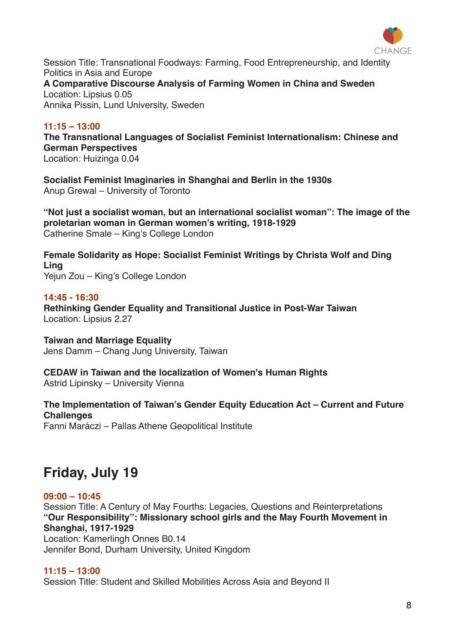

Session Title: Transnational Foodways: Farming, Food Entrepreneurship, and Identity Politics in Asia and Europe

**A Comparative Discourse Analysis of Farming Women in China and Sweden** Location: Lipsius 0.05

Annika Pissin, Lund University, Sweden

#### **11:15 – 13:00**

**The Transnational Languages of Socialist Feminist Internationalism: Chinese and German Perspectives**

Location: Huizinga 0.04

**Socialist Feminist Imaginaries in Shanghai and Berlin in the 1930s** Anup Grewal – University of Toronto

**"Not just a socialist woman, but an international socialist woman": The image of the proletarian woman in German women's writing, 1918-1929** Catherine Smale – King's College London

**Female Solidarity as Hope: Socialist Feminist Writings by Christa Wolf and Ding Ling** Yejun Zou – King's College London

#### **14:45 - 16:30**

**Rethinking Gender Equality and Transitional Justice in Post-War Taiwan** Location: Lipsius 2.27

**Taiwan and Marriage Equality** Jens Damm – Chang Jung University, Taiwan

#### **CEDAW in Taiwan and the localization of Women's Human Rights**

Astrid Lipinsky – University Vienna

**The Implementation of Taiwan's Gender Equity Education Act – Current and Future Challenges**

Fanni Maráczi – Pallas Athene Geopolitical Institute

## **Friday, July 19**

#### **09:00 – 10:45**

Session Title: A Century of May Fourths: Legacies, Questions and Reinterpretations **"Our Responsibility": Missionary school girls and the May Fourth Movement in Shanghai, 1917-1929**

Location: Kamerlingh Onnes B0.14 Jennifer Bond, Durham University, United Kingdom

#### **11:15 – 13:00**

Session Title: Student and Skilled Mobilities Across Asia and Beyond II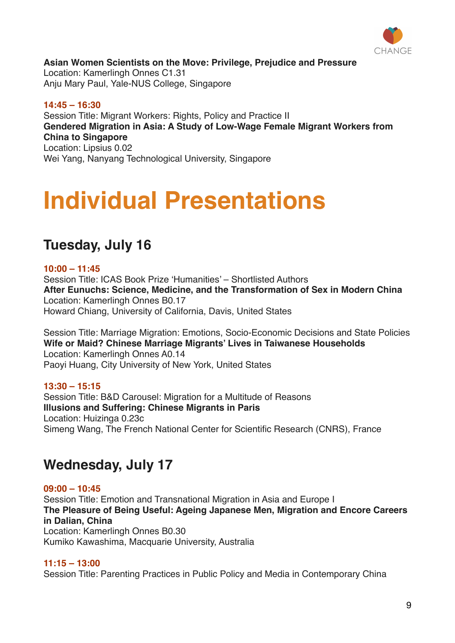

**Asian Women Scientists on the Move: Privilege, Prejudice and Pressure** Location: Kamerlingh Onnes C1.31 Anju Mary Paul, Yale-NUS College, Singapore

**14:45 – 16:30** Session Title: Migrant Workers: Rights, Policy and Practice II **Gendered Migration in Asia: A Study of Low-Wage Female Migrant Workers from China to Singapore** Location: Lipsius 0.02 Wei Yang, Nanyang Technological University, Singapore

# **Individual Presentations**

## **Tuesday, July 16**

#### **10:00 – 11:45**

Session Title: ICAS Book Prize 'Humanities' – Shortlisted Authors **After Eunuchs: Science, Medicine, and the Transformation of Sex in Modern China** Location: Kamerlingh Onnes B0.17 Howard Chiang, University of California, Davis, United States

Session Title: Marriage Migration: Emotions, Socio-Economic Decisions and State Policies **Wife or Maid? Chinese Marriage Migrants' Lives in Taiwanese Households** Location: Kamerlingh Onnes A0.14 Paoyi Huang, City University of New York, United States

#### **13:30 – 15:15**

Session Title: B&D Carousel: Migration for a Multitude of Reasons **Illusions and Suffering: Chinese Migrants in Paris** Location: Huizinga 0.23c Simeng Wang, The French National Center for Scientific Research (CNRS), France

## **Wednesday, July 17**

**09:00 – 10:45** Session Title: Emotion and Transnational Migration in Asia and Europe I **The Pleasure of Being Useful: Ageing Japanese Men, Migration and Encore Careers in Dalian, China** Location: Kamerlingh Onnes B0.30 Kumiko Kawashima, Macquarie University, Australia

#### **11:15 – 13:00**

Session Title: Parenting Practices in Public Policy and Media in Contemporary China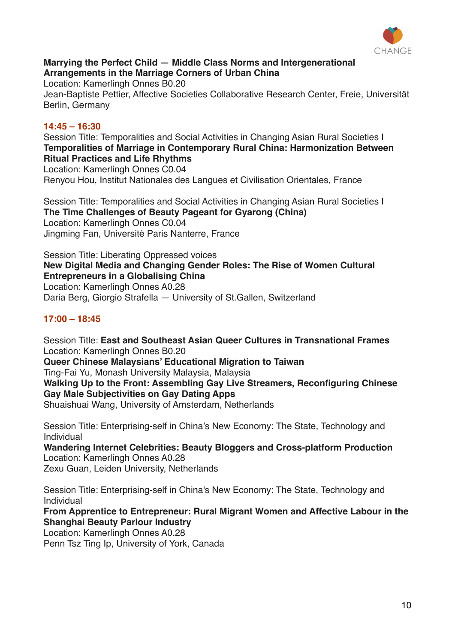

#### **Marrying the Perfect Child — Middle Class Norms and Intergenerational Arrangements in the Marriage Corners of Urban China**

Location: Kamerlingh Onnes B0.20 Jean-Baptiste Pettier, Affective Societies Collaborative Research Center, Freie, Universität Berlin, Germany

#### **14:45 – 16:30**

Session Title: Temporalities and Social Activities in Changing Asian Rural Societies I **Temporalities of Marriage in Contemporary Rural China: Harmonization Between Ritual Practices and Life Rhythms** Location: Kamerlingh Onnes C0.04 Renyou Hou, Institut Nationales des Langues et Civilisation Orientales, France

Session Title: Temporalities and Social Activities in Changing Asian Rural Societies I **The Time Challenges of Beauty Pageant for Gyarong (China)** Location: Kamerlingh Onnes C0.04 Jingming Fan, Université Paris Nanterre, France

Session Title: Liberating Oppressed voices **New Digital Media and Changing Gender Roles: The Rise of Women Cultural Entrepreneurs in a Globalising China** Location: Kamerlingh Onnes A0.28

Daria Berg, Giorgio Strafella — University of St.Gallen, Switzerland

#### **17:00 – 18:45**

Session Title: **East and Southeast Asian Queer Cultures in Transnational Frames** Location: Kamerlingh Onnes B0.20 **Queer Chinese Malaysians' Educational Migration to Taiwan** Ting-Fai Yu, Monash University Malaysia, Malaysia **Walking Up to the Front: Assembling Gay Live Streamers, Reconfiguring Chinese Gay Male Subjectivities on Gay Dating Apps** Shuaishuai Wang, University of Amsterdam, Netherlands

Session Title: Enterprising-self in China's New Economy: The State, Technology and Individual

**Wandering Internet Celebrities: Beauty Bloggers and Cross-platform Production** Location: Kamerlingh Onnes A0.28 Zexu Guan, Leiden University, Netherlands

Session Title: Enterprising-self in China's New Economy: The State, Technology and Individual

**From Apprentice to Entrepreneur: Rural Migrant Women and Affective Labour in the Shanghai Beauty Parlour Industry**

Location: Kamerlingh Onnes A0.28

Penn Tsz Ting Ip, University of York, Canada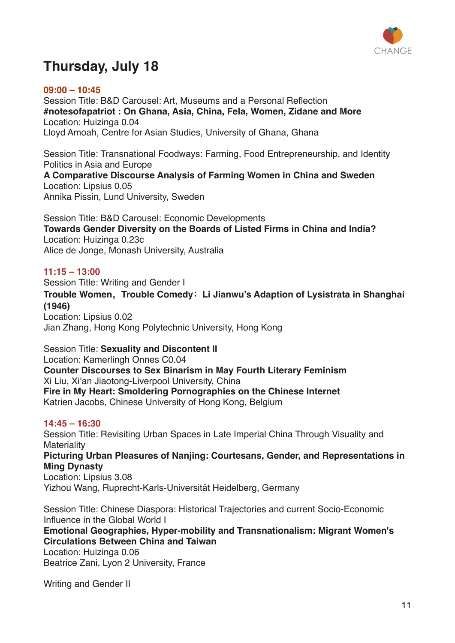

## **Thursday, July 18**

#### **09:00 – 10:45**

Session Title: B&D Carousel: Art, Museums and a Personal Reflection **#notesofapatriot : On Ghana, Asia, China, Fela, Women, Zidane and More** Location: Huizinga 0.04 Lloyd Amoah, Centre for Asian Studies, University of Ghana, Ghana

Session Title: Transnational Foodways: Farming, Food Entrepreneurship, and Identity Politics in Asia and Europe

**A Comparative Discourse Analysis of Farming Women in China and Sweden** Location: Lipsius 0.05 Annika Pissin, Lund University, Sweden

Session Title: B&D Carousel: Economic Developments **Towards Gender Diversity on the Boards of Listed Firms in China and India?** Location: Huizinga 0.23c Alice de Jonge, Monash University, Australia

#### **11:15 – 13:00**

Session Title: Writing and Gender I

**Trouble Women,Trouble Comedy:Li Jianwu's Adaption of Lysistrata in Shanghai (1946)**

Location: Lipsius 0.02 Jian Zhang, Hong Kong Polytechnic University, Hong Kong

Session Title: **Sexuality and Discontent II** Location: Kamerlingh Onnes C0.04 **Counter Discourses to Sex Binarism in May Fourth Literary Feminism** Xi Liu, Xi'an Jiaotong-Liverpool University, China **Fire in My Heart: Smoldering Pornographies on the Chinese Internet** Katrien Jacobs, Chinese University of Hong Kong, Belgium

#### **14:45 – 16:30**

Session Title: Revisiting Urban Spaces in Late Imperial China Through Visuality and **Materiality Picturing Urban Pleasures of Nanjing: Courtesans, Gender, and Representations in Ming Dynasty** Location: Lipsius 3.08 Yizhou Wang, Ruprecht-Karls-Universität Heidelberg, Germany

Session Title: Chinese Diaspora: Historical Trajectories and current Socio-Economic Influence in the Global World I

**Emotional Geographies, Hyper-mobility and Transnationalism: Migrant Women's Circulations Between China and Taiwan**

Location: Huizinga 0.06 Beatrice Zani, Lyon 2 University, France

Writing and Gender II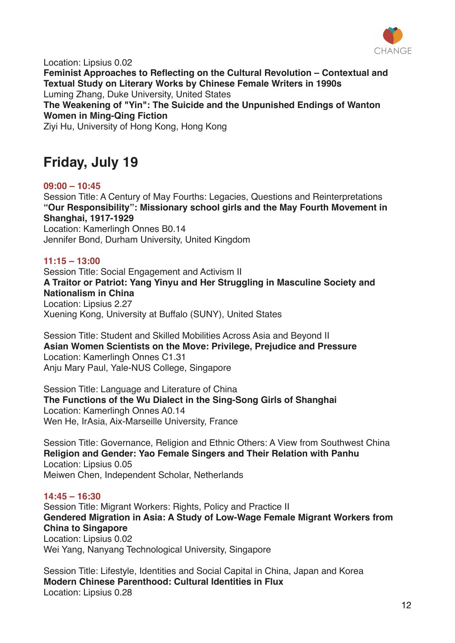

Location: Lipsius 0.02 **Feminist Approaches to Reflecting on the Cultural Revolution – Contextual and Textual Study on Literary Works by Chinese Female Writers in 1990s** Luming Zhang, Duke University, United States **The Weakening of "Yin": The Suicide and the Unpunished Endings of Wanton Women in Ming-Qing Fiction** Ziyi Hu, University of Hong Kong, Hong Kong

## **Friday, July 19**

#### **09:00 – 10:45**

Session Title: A Century of May Fourths: Legacies, Questions and Reinterpretations **"Our Responsibility": Missionary school girls and the May Fourth Movement in Shanghai, 1917-1929** Location: Kamerlingh Onnes B0.14 Jennifer Bond, Durham University, United Kingdom

#### **11:15 – 13:00**

Session Title: Social Engagement and Activism II **A Traitor or Patriot: Yang Yinyu and Her Struggling in Masculine Society and Nationalism in China** Location: Lipsius 2.27 Xuening Kong, University at Buffalo (SUNY), United States

Session Title: Student and Skilled Mobilities Across Asia and Beyond II **Asian Women Scientists on the Move: Privilege, Prejudice and Pressure** Location: Kamerlingh Onnes C1.31 Anju Mary Paul, Yale-NUS College, Singapore

Session Title: Language and Literature of China **The Functions of the Wu Dialect in the Sing-Song Girls of Shanghai** Location: Kamerlingh Onnes A0.14 Wen He, IrAsia, Aix-Marseille University, France

Session Title: Governance, Religion and Ethnic Others: A View from Southwest China **Religion and Gender: Yao Female Singers and Their Relation with Panhu** Location: Lipsius 0.05 Meiwen Chen, Independent Scholar, Netherlands

#### **14:45 – 16:30**

Session Title: Migrant Workers: Rights, Policy and Practice II **Gendered Migration in Asia: A Study of Low-Wage Female Migrant Workers from China to Singapore** Location: Lipsius 0.02 Wei Yang, Nanyang Technological University, Singapore

Session Title: Lifestyle, Identities and Social Capital in China, Japan and Korea **Modern Chinese Parenthood: Cultural Identities in Flux** Location: Lipsius 0.28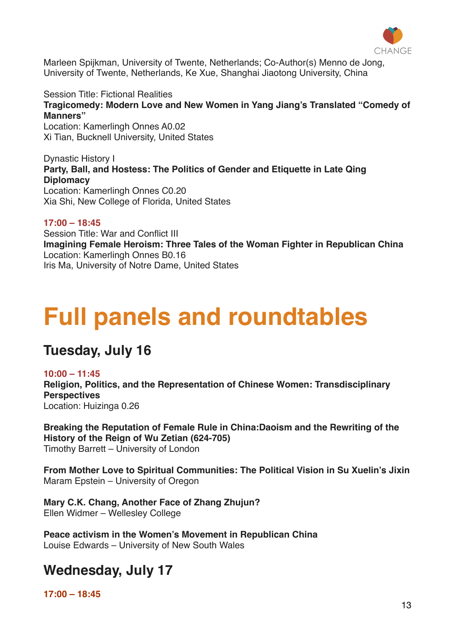

Marleen Spijkman, University of Twente, Netherlands; Co-Author(s) Menno de Jong, University of Twente, Netherlands, Ke Xue, Shanghai Jiaotong University, China

Session Title: Fictional Realities **Tragicomedy: Modern Love and New Women in Yang Jiang's Translated "Comedy of Manners"**

Location: Kamerlingh Onnes A0.02 Xi Tian, Bucknell University, United States

Dynastic History I **Party, Ball, and Hostess: The Politics of Gender and Etiquette in Late Qing Diplomacy** Location: Kamerlingh Onnes C0.20 Xia Shi, New College of Florida, United States

#### **17:00 – 18:45**

Session Title: War and Conflict III **Imagining Female Heroism: Three Tales of the Woman Fighter in Republican China** Location: Kamerlingh Onnes B0.16 Iris Ma, University of Notre Dame, United States

# **Full panels and roundtables**

### **Tuesday, July 16**

#### **10:00 – 11:45**

**Religion, Politics, and the Representation of Chinese Women: Transdisciplinary Perspectives** Location: Huizinga 0.26

**Breaking the Reputation of Female Rule in China:Daoism and the Rewriting of the History of the Reign of Wu Zetian (624-705)** Timothy Barrett – University of London

**From Mother Love to Spiritual Communities: The Political Vision in Su Xuelin's Jixin** Maram Epstein – University of Oregon

**Mary C.K. Chang, Another Face of Zhang Zhujun?** Ellen Widmer – Wellesley College

**Peace activism in the Women's Movement in Republican China** Louise Edwards – University of New South Wales

### **Wednesday, July 17**

**17:00 – 18:45**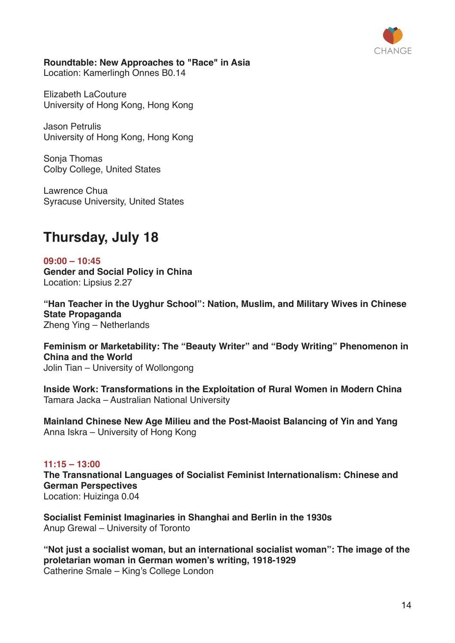

#### **Roundtable: New Approaches to "Race" in Asia**

Location: Kamerlingh Onnes B0.14

Elizabeth LaCouture University of Hong Kong, Hong Kong

Jason Petrulis University of Hong Kong, Hong Kong

Sonja Thomas Colby College, United States

Lawrence Chua Syracuse University, United States

## **Thursday, July 18**

**09:00 – 10:45 Gender and Social Policy in China** Location: Lipsius 2.27

**"Han Teacher in the Uyghur School": Nation, Muslim, and Military Wives in Chinese State Propaganda** Zheng Ying – Netherlands

**Feminism or Marketability: The "Beauty Writer" and "Body Writing" Phenomenon in China and the World** Jolin Tian – University of Wollongong

**Inside Work: Transformations in the Exploitation of Rural Women in Modern China** Tamara Jacka – Australian National University

**Mainland Chinese New Age Milieu and the Post-Maoist Balancing of Yin and Yang** Anna Iskra – University of Hong Kong

#### **11:15 – 13:00**

**The Transnational Languages of Socialist Feminist Internationalism: Chinese and German Perspectives** Location: Huizinga 0.04

**Socialist Feminist Imaginaries in Shanghai and Berlin in the 1930s** Anup Grewal – University of Toronto

**"Not just a socialist woman, but an international socialist woman": The image of the proletarian woman in German women's writing, 1918-1929** Catherine Smale – King's College London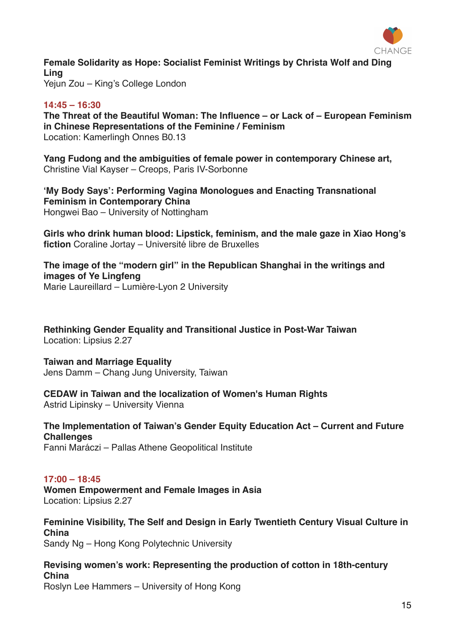

**Female Solidarity as Hope: Socialist Feminist Writings by Christa Wolf and Ding Ling** Yejun Zou – King's College London

#### **14:45 – 16:30**

**The Threat of the Beautiful Woman: The Influence – or Lack of – European Feminism in Chinese Representations of the Feminine / Feminism** Location: Kamerlingh Onnes B0.13

**Yang Fudong and the ambiguities of female power in contemporary Chinese art,**  Christine Vial Kayser – Creops, Paris IV-Sorbonne

**'My Body Says': Performing Vagina Monologues and Enacting Transnational Feminism in Contemporary China** Hongwei Bao – University of Nottingham

**Girls who drink human blood: Lipstick, feminism, and the male gaze in Xiao Hong's fiction** Coraline Jortay – Université libre de Bruxelles

**The image of the "modern girl" in the Republican Shanghai in the writings and images of Ye Lingfeng** Marie Laureillard – Lumière-Lyon 2 University

**Rethinking Gender Equality and Transitional Justice in Post-War Taiwan** Location: Lipsius 2.27

**Taiwan and Marriage Equality** Jens Damm – Chang Jung University, Taiwan

**CEDAW in Taiwan and the localization of Women's Human Rights** Astrid Lipinsky – University Vienna

**The Implementation of Taiwan's Gender Equity Education Act – Current and Future Challenges**

Fanni Maráczi – Pallas Athene Geopolitical Institute

#### **17:00 – 18:45**

**Women Empowerment and Female Images in Asia** Location: Lipsius 2.27

**Feminine Visibility, The Self and Design in Early Twentieth Century Visual Culture in China** Sandy Ng – Hong Kong Polytechnic University

**Revising women's work: Representing the production of cotton in 18th-century China**

Roslyn Lee Hammers – University of Hong Kong